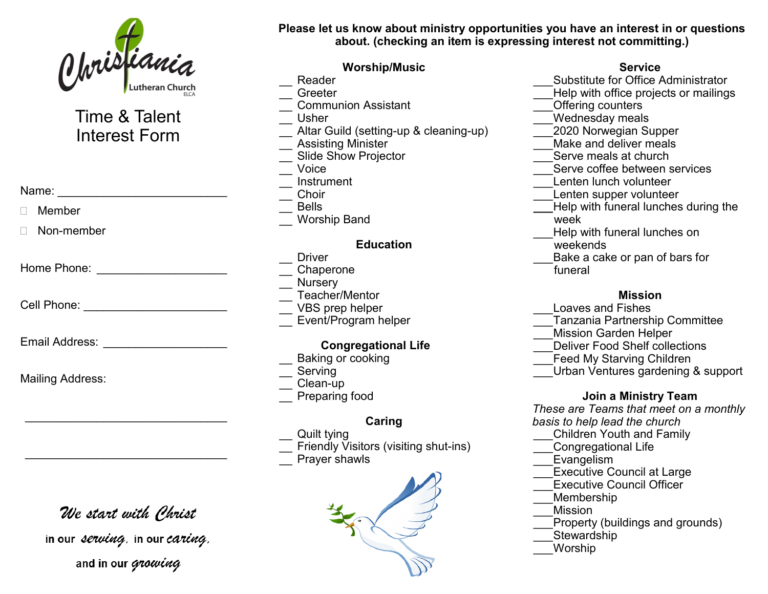

# Time & Talent Interest Form

Name: \_\_\_\_\_\_\_\_\_\_\_\_\_\_\_\_\_\_\_\_\_\_\_\_\_\_

Member

Non-member

Home Phone: \_\_\_\_\_\_\_\_\_\_\_\_\_\_\_\_\_\_\_\_

Cell Phone: **Example 2** 

Email Address: **Email Address:** 

Mailing Address:

# We start with Phrist

 $\mathcal{L}_\text{max}$  , and the set of the set of the set of the set of the set of the set of the set of the set of the set of the set of the set of the set of the set of the set of the set of the set of the set of the set of the

 $\mathcal{L}_\text{max}$  , and the set of the set of the set of the set of the set of the set of the set of the set of the set of the set of the set of the set of the set of the set of the set of the set of the set of the set of the

in our serving, in our caring. and in our growing

**Please let us know about ministry opportunities you have an interest in or questions about. (checking an item is expressing interest not committing.)**

### **Worship/Music**

- Reader
- \_\_ Greeter
- \_\_ Communion Assistant
- \_\_ Usher
- Altar Guild (setting-up & cleaning-up)
- \_\_ Assisting Minister
- Slide Show Projector
- \_\_ Voice
- \_\_ Instrument
- \_\_ Choir
- \_\_ Bells
- \_\_ Worship Band

#### **Education**

- **Driver** \_\_ Chaperone
- Nursery
- Teacher/Mentor
- VBS prep helper
- **Event/Program helper**

### **Congregational Life**

- Baking or cooking
- **Serving**
- Clean-up
- Preparing food

## **Caring**

- Quilt tving
- \_\_ Friendly Visitors (visiting shut-ins)
- Prayer shawls



### **Service**

- \_\_\_Substitute for Office Administrator
- Help with office projects or mailings
- Offering counters
- Wednesday meals
- \_\_\_2020 Norwegian Supper
- Make and deliver meals
- Serve meals at church
- Serve coffee between services
- Lenten lunch volunteer
- Lenten supper volunteer
- **\_\_\_**Help with funeral lunches during the week
	- Help with funeral lunches on
- weekends
- Bake a cake or pan of bars for funeral
	-

#### **Mission**

- \_\_\_Loaves and Fishes
- \_\_\_Tanzania Partnership Committee
- \_\_\_Mission Garden Helper
- Deliver Food Shelf collections
- **Feed My Starving Children**
- Urban Ventures gardening & support

#### **Join a Ministry Team**

*These are Teams that meet on a monthly basis to help lead the church*

- \_\_\_Children Youth and Family
- \_\_\_Congregational Life
- Evangelism
- Executive Council at Large
- Executive Council Officer
- \_\_\_Membership
- \_\_\_Mission
- Property (buildings and grounds)
- **Stewardship**
- \_\_\_Worship